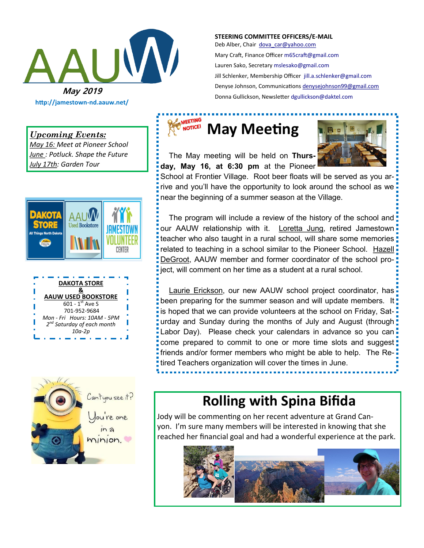

**http://jamestown-nd.aauw.net/** 

#### *Upcoming Events:*

*May 16: Meet at Pioneer School June : Potluck. Shape the Future July 17th: Garden Tour*







**STEERING COMMITTEE OFFICERS/E-MAIL** Deb Alber, Chair [dova\\_car@yahoo.com](mailto:dova_car@yahoo.com) Mary Craft, Finance Officer [m65craft@gmail.com](mailto:m65craft@gmail.com)

Lauren Sako, Secretary [mslesako@gmail.com](mailto:mslesako@gmail.com) Jill Schlenker, Membership Officer [jill.a.schlenker@gmail.com](mailto:jill.a.schlenker@gmail.com) Denyse Johnson, Communications [denysejohnson99@gmail.com](mailto:denysejohnson99@gmail.com)  Donna Gullickson, Newsletter [dgullickson@daktel.com](mailto:dgullickson@daktel.com)

# **MARKETING** May Meeting

 The May meeting will be held on **Thursday, May 16, at 6:30 pm** at the Pioneer



School at Frontier Village. Root beer floats will be served as you arrive and you'll have the opportunity to look around the school as we near the beginning of a summer season at the Village.

 The program will include a review of the history of the school and our AAUW relationship with it. Loretta Jung, retired Jamestown teacher who also taught in a rural school, will share some memories related to teaching in a school similar to the Pioneer School. Hazell DeGroot, AAUW member and former coordinator of the school project, will comment on her time as a student at a rural school.

 Laurie Erickson, our new AAUW school project coordinator, has been preparing for the summer season and will update members. It! is hoped that we can provide volunteers at the school on Friday, Saturday and Sunday during the months of July and August (through! Labor Day). Please check your calendars in advance so you can come prepared to commit to one or more time slots and suggest friends and/or former members who might be able to help. The Retired Teachers organization will cover the times in June.

# **Rolling with Spina Bifida**

Jody will be commenting on her recent adventure at Grand Canyon. I'm sure many members will be interested in knowing that she reached her financial goal and had a wonderful experience at the park.